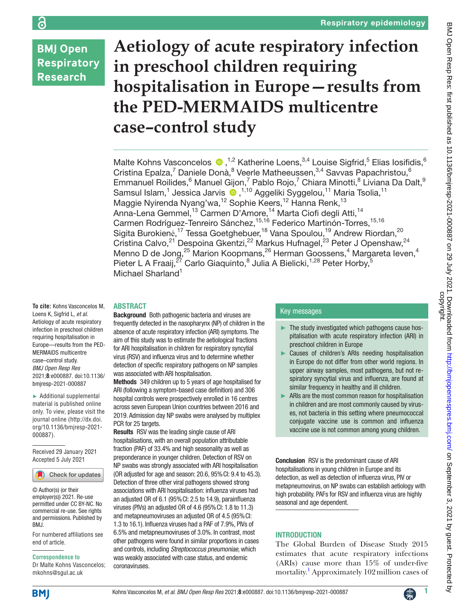# **BMJ Open Respiratory Research**

# **Aetiology of acute respiratory infection in preschool children requiring hospitalisation in Europe—results from the PED-MERMAIDS multicentre case–control study**

MalteKohns Vasconcelos  $\bullet$ , <sup>1,2</sup> Katherine Loens, <sup>3,4</sup> Louise Sigfrid, <sup>5</sup> Elias losifidis, 6 Cristina Epalza,<sup>7</sup> Daniele Donà,<sup>8</sup> Veerle Matheeussen, 3,4 Savvas Papachristou, 6 Emmanuel Roilides, <sup>6</sup> Manuel Gijon, <sup>7</sup> Pablo Rojo, <sup>7</sup> Chiara Minotti, <sup>8</sup> Liviana Da Dalt, <sup>9</sup> SamsulIslam,<sup>1</sup> Jessica Jarvis (D,<sup>1,10</sup> Aggeliki Syggelou,<sup>11</sup> Maria Tsolia,<sup>11</sup> Maggie Nyirenda Nyang'wa,<sup>12</sup> Sophie Keers,<sup>12</sup> Hanna Renk,<sup>13</sup> Anna-Lena Gemmel,<sup>13</sup> Carmen D'Amore,<sup>14</sup> Marta Ciofi degli Atti,<sup>14</sup> Carmen Rodríguez-Tenreiro Sánchez, <sup>15,16</sup> Federico Martinón-Torres, <sup>15,16</sup> Sigita Burokienė,<sup>17</sup> Tessa Goetghebuer,<sup>18</sup> Vana Spoulou,<sup>19</sup> Andrew Riordan,<sup>20</sup> Cristina Calvo,<sup>21</sup> Despoina Gkentzi,<sup>22</sup> Markus Hufnagel,<sup>23</sup> Peter J Openshaw,<sup>24</sup> Menno D de Jong,<sup>25</sup> Marion Koopmans,<sup>26</sup> Herman Goossens,<sup>4</sup> Margareta leven,<sup>4</sup> Pieter L A Fraaij,<sup>27</sup> Carlo Giaquinto,<sup>8</sup> Julia A Bielicki,<sup>1,28</sup> Peter Horby,<sup>5</sup> Michael Sharland<sup>1</sup>

#### ABSTRACT

**To cite:** Kohns Vasconcelos M, Loens K, Sigfrid L, *et al*. Aetiology of acute respiratory infection in preschool children requiring hospitalisation in Europe—results from the PED-MERMAIDS multicentre case–control study. *BMJ Open Resp Res* 2021;**8**:e000887. doi:10.1136/ bmjresp-2021-000887

► Additional supplemental material is published online only. To view, please visit the journal online ([http://dx.doi.](http://dx.doi.org/10.1136/bmjresp-2021-000887) [org/10.1136/bmjresp-2021-](http://dx.doi.org/10.1136/bmjresp-2021-000887) [000887](http://dx.doi.org/10.1136/bmjresp-2021-000887)).

Received 29 January 2021 Accepted 5 July 2021



© Author(s) (or their employer(s)) 2021. Re-use permitted under CC BY-NC. No commercial re-use. See rights and permissions. Published by BMJ.

For numbered affiliations see end of article.

#### **Correspondence to**

Dr Malte Kohns Vasconcelos; mkohns@sgul.ac.uk

**Background** Both pathogenic bacteria and viruses are frequently detected in the nasopharynx (NP) of children in the absence of acute respiratory infection (ARI) symptoms. The aim of this study was to estimate the aetiological fractions for ARI hospitalisation in children for respiratory syncytial virus (RSV) and influenza virus and to determine whether detection of specific respiratory pathogens on NP samples was associated with ARI hospitalisation.

Methods 349 children up to 5 years of age hospitalised for ARI (following a symptom-based case definition) and 306 hospital controls were prospectively enrolled in 16 centres across seven European Union countries between 2016 and 2019. Admission day NP swabs were analysed by multiplex PCR for 25 targets.

Results RSV was the leading single cause of ARI hospitalisations, with an overall population attributable fraction (PAF) of 33.4% and high seasonality as well as preponderance in younger children. Detection of RSV on NP swabs was strongly associated with ARI hospitalisation (OR adjusted for age and season: 20.6, 95%CI: 9.4 to 45.3). Detection of three other viral pathogens showed strong associations with ARI hospitalisation: influenza viruses had an adjusted OR of 6.1 (95%CI: 2.5 to 14.9), parainfluenza viruses (PIVs) an adjusted OR of 4.6 (95%CI: 1.8 to 11.3) and metapneumoviruses an adjusted OR of 4.5 (95%CI: 1.3 to 16.1). Influenza viruses had a PAF of 7.9%, PIVs of 6.5% and metapneumoviruses of 3.0%. In contrast, most other pathogens were found in similar proportions in cases and controls, including *Streptococcus pneumoniae*, which was weakly associated with case status, and endemic coronaviruses.

# Key messages

- ► The study investigated which pathogens cause hospitalisation with acute respiratory infection (ARI) in preschool children in Europe
- ► Causes of children's ARIs needing hospitalisation in Europe do not differ from other world regions. In upper airway samples, most pathogens, but not respiratory syncytial virus and influenza, are found at similar frequency in healthy and ill children.
- ► ARIs are the most common reason for hospitalisation in children and are most commonly caused by viruses, not bacteria in this setting where pneumococcal conjugate vaccine use is common and influenza vaccine use is not common among young children.

Conclusion RSV is the predominant cause of ARI hospitalisations in young children in Europe and its detection, as well as detection of influenza virus, PIV or metapneumovirus, on NP swabs can establish aetiology with high probability. PAFs for RSV and influenza virus are highly seasonal and age dependent.

# **INTRODUCTION**

The Global Burden of Disease Study 2015 estimates that acute respiratory infections (ARIs) cause more than 15% of under-five mortality.<sup>[1](#page-9-0)</sup> Approximately 102 million cases of

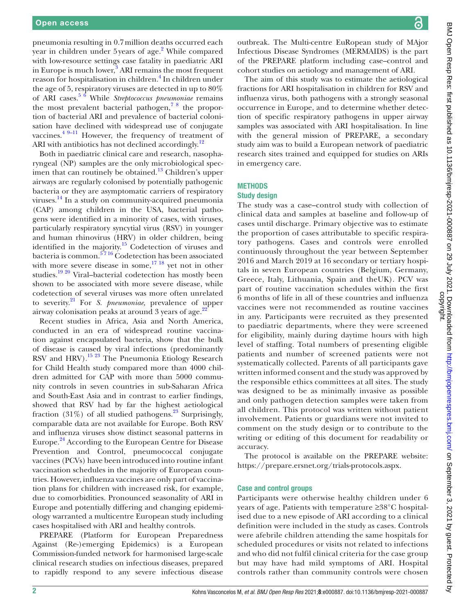pneumonia resulting in 0.7million deaths occurred each year in children under 5 years of age.<sup>2</sup> While compared with low-resource settings case fatality in paediatric ARI in Europe is much lower,<sup>[3](#page-9-2)</sup> ARI remains the most frequent reason for hospitalisation in children.<sup>[4](#page-9-3)</sup> In children under the age of 5, respiratory viruses are detected in up to 80% of ARI cases.[5 6](#page-9-4) While *Streptococcus pneumoniae* remains the most prevalent bacterial pathogen, $78$  the proportion of bacterial ARI and prevalence of bacterial colonisation have declined with widespread use of conjugate vaccines. $4^{9-11}$  However, the frequency of treatment of ARI with antibiotics has not declined accordingly. $^{12}$ 

Both in paediatric clinical care and research, nasopharyngeal (NP) samples are the only microbiological specimen that can routinely be obtained.<sup>13</sup> Children's upper airways are regularly colonised by potentially pathogenic bacteria or they are asymptomatic carriers of respiratory viruses.[14](#page-9-8) In a study on community-acquired pneumonia (CAP) among children in the USA, bacterial pathogens were identified in a minority of cases, with viruses, particularly respiratory syncytial virus (RSV) in younger and human rhinovirus (HRV) in older children, being identified in the majority.<sup>15</sup> Codetection of viruses and bacteria is common.<sup>5716</sup> Codetection has been associated with more severe disease in some, $17 \frac{18}{18}$  yet not in other studies.[19 20](#page-9-11) Viral–bacterial codetection has mostly been shown to be associated with more severe disease, while codetection of several viruses was more often unrelated to severity.[21](#page-9-12) For *S. pneumoniae,* prevalence of upper airway colonisation peaks at around 3 years of age.<sup>[22](#page-9-13)</sup>

Recent studies in Africa, Asia and North America, conducted in an era of widespread routine vaccination against encapsulated bacteria, show that the bulk of disease is caused by viral infections (predominantly RSV and HRV).<sup>[15 23](#page-9-9)</sup> The Pneumonia Etiology Research for Child Health study compared more than 4000 children admitted for CAP with more than 5000 community controls in seven countries in sub-Saharan Africa and South-East Asia and in contrast to earlier findings, showed that RSV had by far the highest aetiological fraction  $(31\%)$  of all studied pathogens.<sup>23</sup> Surprisingly, comparable data are not available for Europe. Both RSV and influenza viruses show distinct seasonal patterns in Europe.<sup>24</sup> According to the European Centre for Disease Prevention and Control, pneumococcal conjugate vaccines (PCVs) have been introduced into routine infant vaccination schedules in the majority of European countries. However, influenza vaccines are only part of vaccination plans for children with increased risk, for example, due to comorbidities. Pronounced seasonality of ARI in Europe and potentially differing and changing epidemiology warranted a multicentre European study including cases hospitalised with ARI and healthy controls.

PREPARE (Platform for European Preparedness Against (Re-)emerging Epidemics) is a European Commission-funded network for harmonised large-scale clinical research studies on infectious diseases, prepared to rapidly respond to any severe infectious disease

outbreak. The Multi-centre EuRopean study of MAjor Infectious Disease Syndromes (MERMAIDS) is the part of the PREPARE platform including case–control and cohort studies on aetiology and management of ARI.

The aim of this study was to estimate the aetiological fractions for ARI hospitalisation in children for RSV and influenza virus, both pathogens with a strongly seasonal occurrence in Europe, and to determine whether detection of specific respiratory pathogens in upper airway samples was associated with ARI hospitalisation. In line with the general mission of PREPARE, a secondary study aim was to build a European network of paediatric research sites trained and equipped for studies on ARIs in emergency care.

# **METHODS**

# Study design

The study was a case–control study with collection of clinical data and samples at baseline and follow-up of cases until discharge. Primary objective was to estimate the proportion of cases attributable to specific respiratory pathogens. Cases and controls were enrolled continuously throughout the year between September 2016 and March 2019 at 16 secondary or tertiary hospitals in seven European countries (Belgium, Germany, Greece, Italy, Lithuania, Spain and theUK). PCV was part of routine vaccination schedules within the first 6 months of life in all of these countries and influenza vaccines were not recommended as routine vaccines in any. Participants were recruited as they presented to paediatric departments, where they were screened for eligibility, mainly during daytime hours with high level of staffing. Total numbers of presenting eligible patients and number of screened patients were not systematically collected. Parents of all participants gave written informed consent and the study was approved by the responsible ethics committees at all sites. The study was designed to be as minimally invasive as possible and only pathogen detection samples were taken from all children. This protocol was written without patient involvement. Patients or guardians were not invited to comment on the study design or to contribute to the writing or editing of this document for readability or accuracy.

The protocol is available on the PREPARE website: <https://prepare.ersnet.org/trials-protocols.aspx>.

# Case and control groups

Participants were otherwise healthy children under 6 years of age. Patients with temperature ≥38°C hospitalised due to a new episode of ARI according to a clinical definition were included in the study as cases. Controls were afebrile children attending the same hospitals for scheduled procedures or visits not related to infections and who did not fulfil clinical criteria for the case group but may have had mild symptoms of ARI. Hospital controls rather than community controls were chosen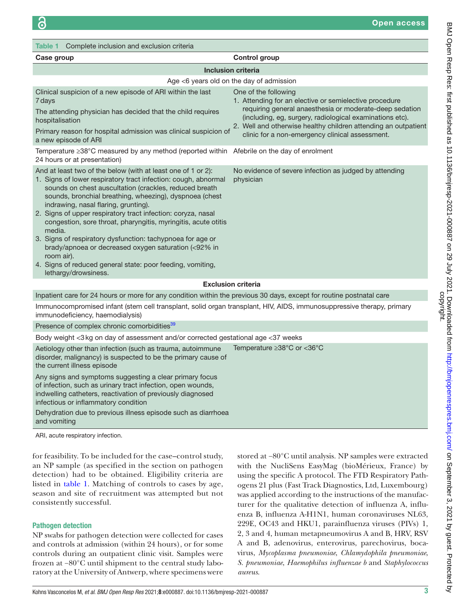<span id="page-2-0"></span>

| Complete inclusion and exclusion criteria<br>Table 1                                                                                                                                                                                                                                                                                                                                                                                                                                                                                                                                                                                                              |                                                                                                                                                                                                       |  |  |  |  |  |  |
|-------------------------------------------------------------------------------------------------------------------------------------------------------------------------------------------------------------------------------------------------------------------------------------------------------------------------------------------------------------------------------------------------------------------------------------------------------------------------------------------------------------------------------------------------------------------------------------------------------------------------------------------------------------------|-------------------------------------------------------------------------------------------------------------------------------------------------------------------------------------------------------|--|--|--|--|--|--|
| Case group                                                                                                                                                                                                                                                                                                                                                                                                                                                                                                                                                                                                                                                        | <b>Control group</b>                                                                                                                                                                                  |  |  |  |  |  |  |
| <b>Inclusion criteria</b>                                                                                                                                                                                                                                                                                                                                                                                                                                                                                                                                                                                                                                         |                                                                                                                                                                                                       |  |  |  |  |  |  |
|                                                                                                                                                                                                                                                                                                                                                                                                                                                                                                                                                                                                                                                                   | Age <6 years old on the day of admission                                                                                                                                                              |  |  |  |  |  |  |
| Clinical suspicion of a new episode of ARI within the last<br>7 days<br>The attending physician has decided that the child requires<br>hospitalisation                                                                                                                                                                                                                                                                                                                                                                                                                                                                                                            | One of the following<br>1. Attending for an elective or semielective procedure<br>requiring general anaesthesia or moderate-deep sedation<br>(including, eg, surgery, radiological examinations etc). |  |  |  |  |  |  |
| Primary reason for hospital admission was clinical suspicion of<br>a new episode of ARI                                                                                                                                                                                                                                                                                                                                                                                                                                                                                                                                                                           | 2. Well and otherwise healthy children attending an outpatient<br>clinic for a non-emergency clinical assessment.                                                                                     |  |  |  |  |  |  |
| Temperature ≥38°C measured by any method (reported within Afebrile on the day of enrolment<br>24 hours or at presentation)                                                                                                                                                                                                                                                                                                                                                                                                                                                                                                                                        |                                                                                                                                                                                                       |  |  |  |  |  |  |
| And at least two of the below (with at least one of 1 or 2):<br>1. Signs of lower respiratory tract infection: cough, abnormal<br>sounds on chest auscultation (crackles, reduced breath<br>sounds, bronchial breathing, wheezing), dyspnoea (chest<br>indrawing, nasal flaring, grunting).<br>2. Signs of upper respiratory tract infection: coryza, nasal<br>congestion, sore throat, pharyngitis, myringitis, acute otitis<br>media.<br>3. Signs of respiratory dysfunction: tachypnoea for age or<br>brady/apnoea or decreased oxygen saturation (<92% in<br>room air).<br>4. Signs of reduced general state: poor feeding, vomiting,<br>lethargy/drowsiness. | No evidence of severe infection as judged by attending<br>physician                                                                                                                                   |  |  |  |  |  |  |
|                                                                                                                                                                                                                                                                                                                                                                                                                                                                                                                                                                                                                                                                   | <b>Exclusion criteria</b>                                                                                                                                                                             |  |  |  |  |  |  |
| Inpatient care for 24 hours or more for any condition within the previous 30 days, except for routine postnatal care                                                                                                                                                                                                                                                                                                                                                                                                                                                                                                                                              |                                                                                                                                                                                                       |  |  |  |  |  |  |
| Immunocompromised infant (stem cell transplant, solid organ transplant, HIV, AIDS, immunosuppressive therapy, primary<br>immunodeficiency, haemodialysis)                                                                                                                                                                                                                                                                                                                                                                                                                                                                                                         |                                                                                                                                                                                                       |  |  |  |  |  |  |
| Presence of complex chronic comorbidities <sup>39</sup>                                                                                                                                                                                                                                                                                                                                                                                                                                                                                                                                                                                                           |                                                                                                                                                                                                       |  |  |  |  |  |  |
| Body weight <3 kg on day of assessment and/or corrected gestational age <37 weeks                                                                                                                                                                                                                                                                                                                                                                                                                                                                                                                                                                                 |                                                                                                                                                                                                       |  |  |  |  |  |  |
| Aetiology other than infection (such as trauma, autoimmune<br>disorder, malignancy) is suspected to be the primary cause of<br>the current illness episode                                                                                                                                                                                                                                                                                                                                                                                                                                                                                                        | Temperature ≥38°C or <36°C                                                                                                                                                                            |  |  |  |  |  |  |
| Any signs and symptoms suggesting a clear primary focus<br>of infection, such as urinary tract infection, open wounds,<br>indwelling catheters, reactivation of previously diagnosed<br>infectious or inflammatory condition                                                                                                                                                                                                                                                                                                                                                                                                                                      |                                                                                                                                                                                                       |  |  |  |  |  |  |
| Dehydration due to previous illness episode such as diarrhoea                                                                                                                                                                                                                                                                                                                                                                                                                                                                                                                                                                                                     |                                                                                                                                                                                                       |  |  |  |  |  |  |

and vomiting

ARI, acute respiratory infection.

for feasibility. To be included for the case–control study, an NP sample (as specified in the section on pathogen detection) had to be obtained. Eligibility criteria are listed in [table](#page-2-0) 1. Matching of controls to cases by age, season and site of recruitment was attempted but not consistently successful.

# Pathogen detection

NP swabs for pathogen detection were collected for cases and controls at admission (within 24 hours), or for some controls during an outpatient clinic visit. Samples were frozen at −80°C until shipment to the central study laboratory at the University of Antwerp, where specimens were stored at −80°C until analysis. NP samples were extracted with the NucliSens EasyMag (bioMérieux, France) by using the specific A protocol. The FTD Respiratory Pathogens 21 plus (Fast Track Diagnostics, Ltd, Luxembourg) was applied according to the instructions of the manufacturer for the qualitative detection of influenza A, influenza B, influenza A-H1N1, human coronaviruses NL63, 229E, OC43 and HKU1, parainfluenza viruses (PIVs) 1, 2, 3 and 4, human metapneumovirus A and B, HRV, RSV A and B, adenovirus, enterovirus, parechovirus, bocavirus, *Mycoplasma pneumoniae*, *Chlamydophila pneumoniae*, *S. pneumoniae*, *Haemophilus influenzae b* and *Staphylococcus aureus*.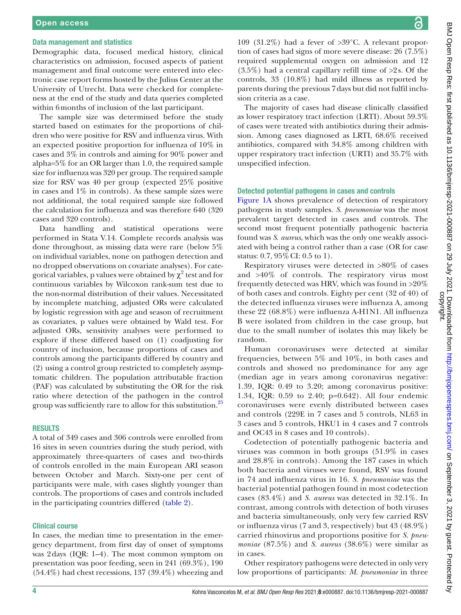#### Data management and statistics

Demographic data, focused medical history, clinical characteristics on admission, focused aspects of patient management and final outcome were entered into electronic case report forms hosted by the Julius Center at the University of Utrecht. Data were checked for completeness at the end of the study and data queries completed within 6months of inclusion of the last participant.

The sample size was determined before the study started based on estimates for the proportions of children who were positive for RSV and influenza virus. With an expected positive proportion for influenza of 10% in cases and 3% in controls and aiming for 90% power and alpha=5% for an OR larger than 1.0, the required sample size for influenza was 320 per group. The required sample size for RSV was 40 per group (expected 25% positive in cases and  $1\%$  in controls). As these sample sizes were not additional, the total required sample size followed the calculation for influenza and was therefore 640 (320 cases and 320 controls).

Data handling and statistical operations were performed in Stata V.14. Complete records analysis was done throughout, as missing data were rare (below 5% on individual variables, none on pathogen detection and no dropped observations on covariate analyses). For categorical variables, p values were obtained by  $\chi^2$  test and for continuous variables by Wilcoxon rank-sum test due to the non-normal distribution of their values. Necessitated by incomplete matching, adjusted ORs were calculated by logistic regression with age and season of recruitment as covariates, p values were obtained by Wald test. For adjusted ORs, sensitivity analyses were performed to explore if these differed based on (1) coadjusting for country of inclusion, because proportions of cases and controls among the participants differed by country and (2) using a control group restricted to completely asymptomatic children. The population attributable fraction (PAF) was calculated by substituting the OR for the risk ratio where detection of the pathogen in the control group was sufficiently rare to allow for this substitution.<sup>25</sup>

#### RESULTS

A total of 349 cases and 306 controls were enrolled from 16 sites in seven countries during the study period, with approximately three-quarters of cases and two-thirds of controls enrolled in the main European ARI season between October and March. Sixty-one per cent of participants were male, with cases slightly younger than controls. The proportions of cases and controls included in the participating countries differed ([table](#page-4-0) 2).

### Clinical course

In cases, the median time to presentation in the emergency department, from first day of onset of symptoms was 2days (IQR: 1–4). The most common symptom on presentation was poor feeding, seen in 241 (69.3%), 190 (54.4%) had chest recessions, 137 (39.4%) wheezing and

्व

109 (31.2%) had a fever of >39°C. A relevant proportion of cases had signs of more severe disease: 26 (7.5%) required supplemental oxygen on admission and 12  $(3.5\%)$  had a central capillary refill time of  $>2$ s. Of the controls, 33 (10.8%) had mild illness as reported by parents during the previous 7days but did not fulfil inclusion criteria as a case.

The majority of cases had disease clinically classified as lower respiratory tract infection (LRTI). About 59.3% of cases were treated with antibiotics during their admission. Among cases diagnosed as LRTI, 68.6% received antibiotics, compared with 34.8% among children with upper respiratory tract infection (URTI) and 35.7% with unspecified infection.

# Detected potential pathogens in cases and controls

[Figure](#page-5-0) 1A shows prevalence of detection of respiratory pathogens in study samples. *S. pneumoniae* was the most prevalent target detected in cases and controls. The second most frequent potentially pathogenic bacteria found was *S. aureus*, which was the only one weakly associated with being a control rather than a case (OR for case status: 0.7, 95%CI: 0.5 to 1).

Respiratory viruses were detected in >80% of cases and >40% of controls. The respiratory virus most frequently detected was HRV, which was found in >20% of both cases and controls. Eighty per cent (32 of 40) of the detected influenza viruses were influenza A, among these 22 (68.8%) were influenza A-H1N1. All influenza B were isolated from children in the case group, but due to the small number of isolates this may likely be random.

Human coronaviruses were detected at similar frequencies, between 5% and 10%, in both cases and controls and showed no predominance for any age (median age in years among coronavirus negative: 1.39, IQR: 0.49 to 3.20; among coronavirus positive: 1.34, IQR: 0.59 to 2.40; p=0.642). All four endemic coronaviruses were evenly distributed between cases and controls (229E in 7 cases and 5 controls, NL63 in 3 cases and 5 controls, HKU1 in 4 cases and 7 controls and OC43 in 8 cases and 10 controls).

Codetection of potentially pathogenic bacteria and viruses was common in both groups (51.9% in cases and 28.8% in controls). Among the 187 cases in which both bacteria and viruses were found, RSV was found in 74 and influenza virus in 16. *S. pneumoniae* was the bacterial potential pathogen found in most codetection cases (83.4%) and *S. aureus* was detected in 32.1%. In contrast, among controls with detection of both viruses and bacteria simultaneously, only very few carried RSV or influenza virus (7 and 3, respectively) but 43 (48.9%) carried rhinovirus and proportions positive for *S. pneumoniae* (87.5%) and *S. aureus* (38.6%) were similar as in cases.

Other respiratory pathogens were detected in only very low proportions of participants: *M. pneumoniae* in three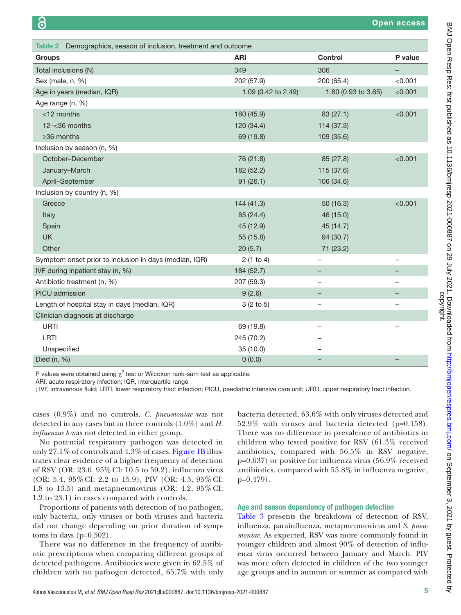<span id="page-4-0"></span>

| Table 2 Demographics, season of inclusion, treatment and outcome |                     |                          |                          |  |  |  |
|------------------------------------------------------------------|---------------------|--------------------------|--------------------------|--|--|--|
| <b>Groups</b>                                                    | <b>ARI</b>          | <b>Control</b>           | P value                  |  |  |  |
| Total inclusions (N)                                             | 349                 | 306                      |                          |  |  |  |
| Sex (male, n, %)                                                 | 202 (57.9)          | 200 (65.4)               | < 0.001                  |  |  |  |
| Age in years (median, IQR)                                       | 1.09 (0.42 to 2.49) | 1.80 (0.93 to 3.65)      | < 0.001                  |  |  |  |
| Age range (n, %)                                                 |                     |                          |                          |  |  |  |
| $<$ 12 months                                                    | 160 (45.9)          | 83 (27.1)                | < 0.001                  |  |  |  |
| $12 - 36$ months                                                 | 120 (34.4)          | 114 (37.3)               |                          |  |  |  |
| $\geq$ 36 months                                                 | 69 (19.8)           | 109 (35.6)               |                          |  |  |  |
| Inclusion by season (n, %)                                       |                     |                          |                          |  |  |  |
| October-December                                                 | 76 (21.8)           | 85 (27.8)                | < 0.001                  |  |  |  |
| January-March                                                    | 182 (52.2)          | 115 (37.6)               |                          |  |  |  |
| April-September                                                  | 91(26.1)            | 106 (34.6)               |                          |  |  |  |
| Inclusion by country (n, %)                                      |                     |                          |                          |  |  |  |
| Greece                                                           | 144 (41.3)          | 50 (16.3)                | < 0.001                  |  |  |  |
| Italy                                                            | 85 (24.4)           | 46 (15.0)                |                          |  |  |  |
| Spain                                                            | 45 (12.9)           | 45 (14.7)                |                          |  |  |  |
| <b>UK</b>                                                        | 55 (15.8)           | 94 (30.7)                |                          |  |  |  |
| Other                                                            | 20(5.7)             | 71 (23.2)                |                          |  |  |  |
| Symptom onset prior to inclusion in days (median, IQR)           | 2(1 to 4)           | -                        | $\overline{\phantom{0}}$ |  |  |  |
| IVF during inpatient stay (n, %)                                 | 184 (52.7)          |                          |                          |  |  |  |
| Antibiotic treatment (n, %)                                      | 207 (59.3)          | -                        |                          |  |  |  |
| PICU admission                                                   | 9(2.6)              | —                        |                          |  |  |  |
| Length of hospital stay in days (median, IQR)                    | 3(2 to 5)           | -                        | $\overline{\phantom{0}}$ |  |  |  |
| Clinician diagnosis at discharge                                 |                     |                          |                          |  |  |  |
| <b>URTI</b>                                                      | 69 (19.8)           | $\overline{\phantom{0}}$ |                          |  |  |  |
| LRTI                                                             | 245 (70.2)          |                          |                          |  |  |  |
| Unspecified                                                      | 35 (10.0)           |                          |                          |  |  |  |
| Died (n, %)                                                      | 0(0.0)              |                          |                          |  |  |  |

P values were obtained using  $\chi^2$  test or Wilcoxon rank-sum test as applicable.

ARI, acute respiratory infection; IQR, interquartile range

; IVF, intravenous fluid; LRTI, lower respiratory tract infection; PICU, paediatric intensive care unit; URTI, upper respiratory tract infection.

cases (0.9%) and no controls, *C. pneumoniae* was not detected in any cases but in three controls (1.0%) and *H. influenzae b* was not detected in either group.

No potential respiratory pathogen was detected in only 27.1% of controls and 4.3% of cases. [Figure](#page-5-0) 1B illustrates clear evidence of a higher frequency of detection of RSV (OR: 23.0, 95% CI: 10.5 to 59.2), influenza virus (OR: 5.4, 95% CI: 2.2 to 15.9), PIV (OR: 4.5, 95% CI: 1.8 to 13.5) and metapneumovirus (OR: 4.2, 95% CI: 1.2 to 23.1) in cases compared with controls.

Proportions of patients with detection of no pathogen, only bacteria, only viruses or both viruses and bacteria did not change depending on prior duration of symptoms in days  $(p=0.502)$ .

There was no difference in the frequency of antibiotic prescriptions when comparing different groups of detected pathogens. Antibiotics were given in 62.5% of children with no pathogen detected, 65.7% with only

bacteria detected, 63.6% with only viruses detected and 52.9% with viruses and bacteria detected (p=0.158). There was no difference in prevalence of antibiotics in children who tested positive for RSV (61.3% received antibiotics, compared with 56.5% in RSV negative, p=0.637) or positive for influenza virus (56.9% received antibiotics, compared with 55.8% in influenza negative, p=0.479).

#### Age and season dependency of pathogen detection

[Table](#page-5-1) 3 presents the breakdown of detection of RSV, influenza, parainfluenza, metapneumovirus and *S. pneumoniae*. As expected, RSV was more commonly found in younger children and almost 90% of detection of influenza virus occurred between January and March. PIV was more often detected in children of the two younger age groups and in autumn or summer as compared with

्व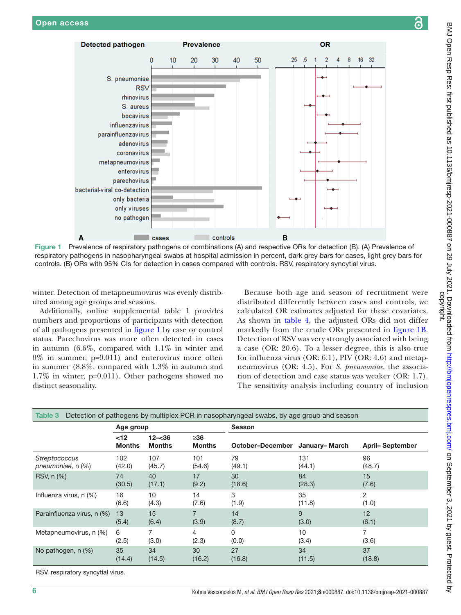

<span id="page-5-0"></span>Figure 1 Prevalence of respiratory pathogens or combinations (A) and respective ORs for detection (B). (A) Prevalence of respiratory pathogens in nasopharyngeal swabs at hospital admission in percent, dark grey bars for cases, light grey bars for controls. (B) ORs with 95% CIs for detection in cases compared with controls. RSV, respiratory syncytial virus.

winter. Detection of metapneumovirus was evenly distributed among age groups and seasons.

Additionally, [online supplemental table 1](https://dx.doi.org/10.1136/bmjresp-2021-000887) provides numbers and proportions of participants with detection of all pathogens presented in [figure](#page-5-0) 1 by case or control status. Parechovirus was more often detected in cases in autumn (6.6%, compared with 1.1% in winter and  $0\%$  in summer, p=0.011) and enterovirus more often in summer (8.8%, compared with 1.3% in autumn and 1.7% in winter, p=0.011). Other pathogens showed no distinct seasonality.

Because both age and season of recruitment were distributed differently between cases and controls, we calculated OR estimates adjusted for these covariates. As shown in [table](#page-6-0) 4, the adjusted ORs did not differ markedly from the crude ORs presented in [figure](#page-5-0) 1B. Detection of RSV was very strongly associated with being a case (OR: 20.6). To a lesser degree, this is also true for influenza virus (OR: 6.1), PIV (OR: 4.6) and metapneumovirus (OR: 4.5). For *S. pneumoniae*, the association of detection and case status was weaker (OR: 1.7). The sensitivity analysis including country of inclusion

<span id="page-5-1"></span>

| Detection of pathogens by multiplex PCR in nasopharyngeal swabs, by age group and season<br>Table 3 |                       |                            |                      |                                |            |                        |  |
|-----------------------------------------------------------------------------------------------------|-----------------------|----------------------------|----------------------|--------------------------------|------------|------------------------|--|
|                                                                                                     | Age group             |                            |                      | <b>Season</b>                  |            |                        |  |
|                                                                                                     | $12$<br><b>Months</b> | $12 - 36$<br><b>Months</b> | ≥36<br><b>Months</b> | October-December January-March |            | <b>April-September</b> |  |
| <b>Streptococcus</b>                                                                                | 102                   | 107                        | 101                  | 79                             | 131        | 96                     |  |
| pneumoniae, n (%)                                                                                   | (42.0)                | (45.7)                     | (54.6)               | (49.1)                         | (44.1)     | (48.7)                 |  |
| RSV, n (%)                                                                                          | 74                    | 40                         | 17                   | 30                             | 84         | 15                     |  |
|                                                                                                     | (30.5)                | (17.1)                     | (9.2)                | (18.6)                         | (28.3)     | (7.6)                  |  |
| Influenza virus, n (%)                                                                              | 16                    | 10                         | 14                   | 3                              | 35         | 2                      |  |
|                                                                                                     | (6.6)                 | (4.3)                      | (7.6)                | (1.9)                          | (11.8)     | (1.0)                  |  |
| Parainfluenza virus, n (%)                                                                          | 13<br>(5.4)           | 15<br>(6.4)                | (3.9)                | 14<br>(8.7)                    | 9<br>(3.0) | 12<br>(6.1)            |  |
| Metapneumovirus, n (%)                                                                              | 6                     | 7                          | 4                    | 0                              | 10         | 7                      |  |
|                                                                                                     | (2.5)                 | (3.0)                      | (2.3)                | (0.0)                          | (3.4)      | (3.6)                  |  |
| No pathogen, n (%)                                                                                  | 35                    | 34                         | 30                   | 27                             | 34         | 37                     |  |
|                                                                                                     | (14.4)                | (14.5)                     | (16.2)               | (16.8)                         | (11.5)     | (18.8)                 |  |

RSV, respiratory syncytial virus.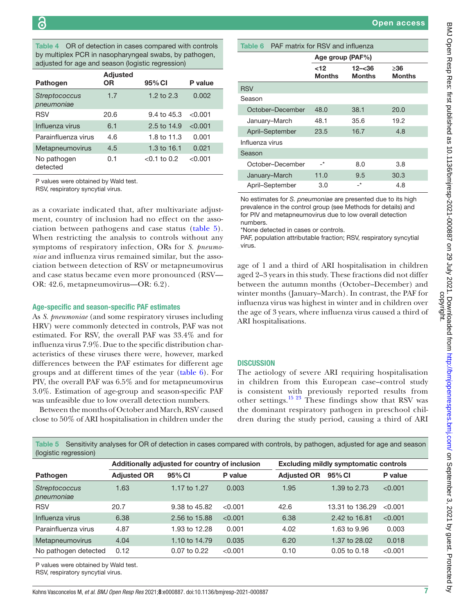<span id="page-6-0"></span>Table 4 OR of detection in cases compared with controls by multiplex PCR in nasopharyngeal swabs, by pathogen, adjusted for age and season (logistic regression)

| Pathogen                    | <b>Adjusted</b><br>ΟR | 95% CI                 | P value |
|-----------------------------|-----------------------|------------------------|---------|
| Streptococcus<br>pneumoniae | 1.7                   | 1.2 to $2.3$           | 0.002   |
| <b>RSV</b>                  | 20.6                  | $9.4 \text{ to } 45.3$ | < 0.001 |
| Influenza virus             | 6.1                   | $2.5 \text{ to } 14.9$ | < 0.001 |
| Parainfluenza virus         | 4.6                   | 1.8 to 11.3            | 0.001   |
| Metapneumovirus             | 4.5                   | 1.3 to $16.1$          | 0.021   |
| No pathogen<br>detected     | 0.1                   | $< 0.1$ to 0.2         | < 0.001 |

P values were obtained by Wald test.

RSV, respiratory syncytial virus.

as a covariate indicated that, after multivariate adjustment, country of inclusion had no effect on the association between pathogens and case status [\(table](#page-6-1) 5). When restricting the analysis to controls without any symptoms of respiratory infection, ORs for *S. pneumoniae* and influenza virus remained similar, but the association between detection of RSV or metapneumovirus and case status became even more pronounced (RSV— OR: 42.6, metapneumovirus—OR: 6.2).

#### Age-specific and season-specific PAF estimates

As *S. pneumoniae* (and some respiratory viruses including HRV) were commonly detected in controls, PAF was not estimated. For RSV, the overall PAF was 33.4% and for influenza virus 7.9%. Due to the specific distribution characteristics of these viruses there were, however, marked differences between the PAF estimates for different age groups and at different times of the year ([table](#page-6-2) 6). For PIV, the overall PAF was 6.5% and for metapneumovirus 3.0%. Estimation of age-group and season-specific PAF was unfeasible due to low overall detection numbers.

Between the months of October and March, RSV caused close to 50% of ARI hospitalisation in children under the

|  | <b>Open access</b> |  |  |  |
|--|--------------------|--|--|--|
|  |                    |  |  |  |

<span id="page-6-2"></span>

| Table 6 PAF matrix for RSV and influenza |                  |                            |                      |  |  |
|------------------------------------------|------------------|----------------------------|----------------------|--|--|
|                                          | Age group (PAF%) |                            |                      |  |  |
|                                          | ~12<br>Months    | $12 - 36$<br><b>Months</b> | ≥36<br><b>Months</b> |  |  |
| <b>RSV</b>                               |                  |                            |                      |  |  |
| Season                                   |                  |                            |                      |  |  |
| October-December                         | 48.0             | 38.1                       | 20.0                 |  |  |
| January-March                            | 48.1             | 35.6                       | 19.2                 |  |  |
| April-September                          | 23.5             | 16.7                       | 4.8                  |  |  |
| Influenza virus                          |                  |                            |                      |  |  |
| Season                                   |                  |                            |                      |  |  |
| October-December                         | _*               | 8.0                        | 3.8                  |  |  |
| January-March                            | 11.0             | 9.5                        | 30.3                 |  |  |
| April-September                          | 3.0              | _*                         | 4.8                  |  |  |

No estimates for *S. pneumoniae* are presented due to its high prevalence in the control group (see Methods for details) and for PIV and metapneumovirus due to low overall detection numbers.

\*None detected in cases or controls.

PAF, population attributable fraction; RSV, respiratory syncytial virus.

age of 1 and a third of ARI hospitalisation in children aged 2–3 years in this study. These fractions did not differ between the autumn months (October–December) and winter months (January–March). In contrast, the PAF for influenza virus was highest in winter and in children over the age of 3 years, where influenza virus caused a third of ARI hospitalisations.

#### **DISCUSSION**

The aetiology of severe ARI requiring hospitalisation in children from this European case–control study is consistent with previously reported results from other settings.<sup>15 23</sup> These findings show that RSV was the dominant respiratory pathogen in preschool children during the study period, causing a third of ARI

| (logistic regression)                |                                                |                  |         |                    |                                              |         |  |
|--------------------------------------|------------------------------------------------|------------------|---------|--------------------|----------------------------------------------|---------|--|
|                                      | Additionally adjusted for country of inclusion |                  |         |                    | <b>Excluding mildly symptomatic controls</b> |         |  |
| <b>Pathogen</b>                      | <b>Adjusted OR</b>                             | 95% CI           | P value | <b>Adjusted OR</b> | 95% CI                                       | P value |  |
| <b>Streptococcus</b><br>pneumoniae   | 1.63                                           | 1.17 to 1.27     | 0.003   | 1.95               | 1.39 to 2.73                                 | < 0.001 |  |
| <b>RSV</b>                           | 20.7                                           | 9.38 to 45.82    | < 0.001 | 42.6               | 13.31 to 136.29                              | < 0.001 |  |
| Influenza virus                      | 6.38                                           | 2.56 to 15.88    | < 0.001 | 6.38               | 2.42 to 16.81                                | < 0.001 |  |
| Parainfluenza virus                  | 4.87                                           | 1.93 to 12.28    | 0.001   | 4.02               | 1.63 to 9.96                                 | 0.003   |  |
| Metapneumovirus                      | 4.04                                           | 1.10 to 14.79    | 0.035   | 6.20               | 1.37 to 28.02                                | 0.018   |  |
| No pathogen detected                 | 0.12                                           | $0.07$ to $0.22$ | < 0.001 | 0.10               | $0.05$ to $0.18$                             | < 0.001 |  |
| P values were obtained by Wald test. |                                                |                  |         |                    |                                              |         |  |

<span id="page-6-1"></span>Table 5 Sensitivity analyses for OR of detection in cases compared with controls, by pathogen, adjusted for age and season

RSV, respiratory syncytial virus.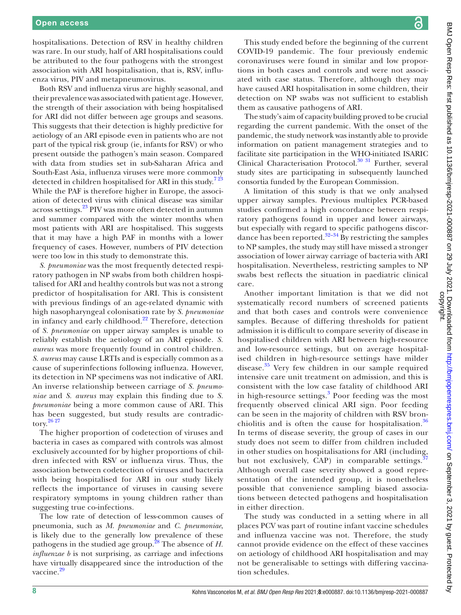hospitalisations. Detection of RSV in healthy children was rare. In our study, half of ARI hospitalisations could be attributed to the four pathogens with the strongest association with ARI hospitalisation, that is, RSV, influenza virus, PIV and metapneumovirus.

Both RSV and influenza virus are highly seasonal, and their prevalence was associated with patient age. However, the strength of their association with being hospitalised for ARI did not differ between age groups and seasons. This suggests that their detection is highly predictive for aetiology of an ARI episode even in patients who are not part of the typical risk group (ie, infants for RSV) or who present outside the pathogen's main season. Compared with data from studies set in sub-Saharan Africa and South-East Asia, influenza viruses were more commonly detected in children hospitalised for ARI in this study.<sup>723</sup> While the PAF is therefore higher in Europe, the association of detected virus with clinical disease was similar across settings.<sup>[23](#page-9-14)</sup> PIV was more often detected in autumn and summer compared with the winter months when most patients with ARI are hospitalised. This suggests that it may have a high PAF in months with a lower frequency of cases. However, numbers of PIV detection were too low in this study to demonstrate this.

*S. pneumoniae* was the most frequently detected respiratory pathogen in NP swabs from both children hospitalised for ARI and healthy controls but was not a strong predictor of hospitalisation for ARI. This is consistent with previous findings of an age-related dynamic with high nasopharyngeal colonisation rate by *S. pneumoniae* in infancy and early childhood. $^{22}$  $^{22}$  $^{22}$  Therefore, detection of *S. pneumoniae* on upper airway samples is unable to reliably establish the aetiology of an ARI episode. *S. aureus* was more frequently found in control children. *S. aureus* may cause LRTIs and is especially common as a cause of superinfections following influenza. However, its detection in NP specimens was not indicative of ARI. An inverse relationship between carriage of *S. pneumoniae* and *S. aureus* may explain this finding due to *S. pneumoniae* being a more common cause of ARI. This has been suggested, but study results are contradictory.[26 27](#page-9-17)

The higher proportion of codetection of viruses and bacteria in cases as compared with controls was almost exclusively accounted for by higher proportions of children infected with RSV or influenza virus. Thus, the association between codetection of viruses and bacteria with being hospitalised for ARI in our study likely reflects the importance of viruses in causing severe respiratory symptoms in young children rather than suggesting true co-infections.

The low rate of detection of less-common causes of pneumonia, such as *M. pneumoniae* and *C. pneumoniae*, is likely due to the generally low prevalence of these pathogens in the studied age group.<sup>[28](#page-9-18)</sup> The absence of *H*. *influenzae b* is not surprising, as carriage and infections have virtually disappeared since the introduction of the vaccine.[29](#page-9-19)

BMJ Open Resp Res: first published as 10.1136/bmjresp-2021-000887 on 29 July 2021. Downloaded from http://bmjopenrespres.bmj.com/ on September 3, 2021 by guest. Protected<br>copyright. BMJ Open Resp Res: first published as 10.1136/bmjresp-2021-000887 on 29 July 2021. Downloaded from loom/ompenrespres.bmj.com/ on September 3, 2021 by guest. Protected by ्व

This study ended before the beginning of the current COVID-19 pandemic. The four previously endemic coronaviruses were found in similar and low proportions in both cases and controls and were not associated with case status. Therefore, although they may have caused ARI hospitalisation in some children, their detection on NP swabs was not sufficient to establish them as causative pathogens of ARI.

The study's aim of capacity building proved to be crucial regarding the current pandemic. With the onset of the pandemic, the study network was instantly able to provide information on patient management strategies and to facilitate site participation in the WHO-initiated ISARIC Clinical Characterisation Protocol.<sup>30</sup> <sup>31</sup> Further, several study sites are participating in subsequently launched consortia funded by the European Commission.

A limitation of this study is that we only analysed upper airway samples. Previous multiplex PCR-based studies confirmed a high concordance between respiratory pathogens found in upper and lower airways, but especially with regard to specific pathogens discordance has been reported. $32-34$  By restricting the samples to NP samples, the study may still have missed a stronger association of lower airway carriage of bacteria with ARI hospitalisation. Nevertheless, restricting samples to NP swabs best reflects the situation in paediatric clinical care.

Another important limitation is that we did not systematically record numbers of screened patients and that both cases and controls were convenience samples. Because of differing thresholds for patient admission it is difficult to compare severity of disease in hospitalised children with ARI between high-resource and low-resource settings, but on average hospitalised children in high-resource settings have milder disease.<sup>35</sup> Very few children in our sample required intensive care unit treatment on admission, and this is consistent with the low case fatality of childhood ARI in high-resource settings.<sup>[3](#page-9-2)</sup> Poor feeding was the most frequently observed clinical ARI sign. Poor feeding can be seen in the majority of children with RSV bron-chiolitis and is often the cause for hospitalisation.<sup>[36](#page-10-3)</sup> In terms of disease severity, the group of cases in our study does not seem to differ from children included in other studies on hospitalisations for ARI (including, but not exclusively, CAP) in comparable settings. $35$ Although overall case severity showed a good representation of the intended group, it is nonetheless possible that convenience sampling biased associations between detected pathogens and hospitalisation in either direction.

The study was conducted in a setting where in all places PCV was part of routine infant vaccine schedules and influenza vaccine was not. Therefore, the study cannot provide evidence on the effect of these vaccines on aetiology of childhood ARI hospitalisation and may not be generalisable to settings with differing vaccination schedules.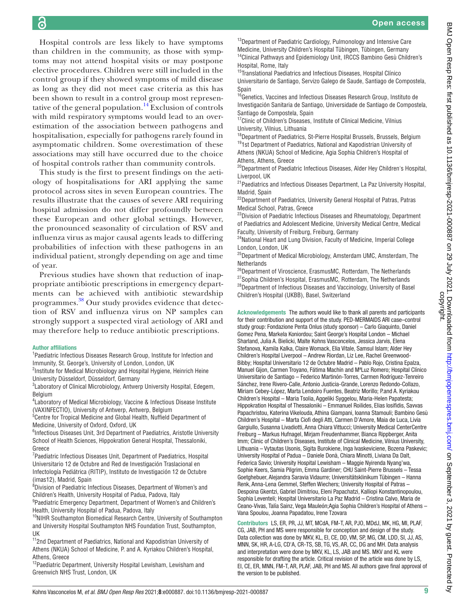ခြ

Hospital controls are less likely to have symptoms than children in the community, as those with symptoms may not attend hospital visits or may postpone elective procedures. Children were still included in the control group if they showed symptoms of mild disease as long as they did not meet case criteria as this has been shown to result in a control group most represen-tative of the general population.<sup>[14](#page-9-8)</sup> Exclusion of controls with mild respiratory symptoms would lead to an overestimation of the association between pathogens and hospitalisation, especially for pathogens rarely found in asymptomatic children. Some overestimation of these associations may still have occurred due to the choice of hospital controls rather than community controls.

This study is the first to present findings on the aetiology of hospitalisations for ARI applying the same protocol across sites in seven European countries. The results illustrate that the causes of severe ARI requiring hospital admission do not differ profoundly between these European and other global settings. However, the pronounced seasonality of circulation of RSV and influenza virus as major causal agents leads to differing probabilities of infection with these pathogens in an individual patient, strongly depending on age and time of year.

Previous studies have shown that reduction of inappropriate antibiotic prescriptions in emergency departments can be achieved with antibiotic stewardship programmes.<sup>38</sup> Our study provides evidence that detection of RSV and influenza virus on NP samples can strongly support a suspected viral aetiology of ARI and may therefore help to reduce antibiotic prescriptions.

#### Author affiliations

<sup>1</sup> Paediatric Infectious Diseases Research Group, Institute for Infection and Immunity, St. George's, University of London, London, UK

<sup>2</sup>Institute for Medical Microbiology and Hospital Hygiene, Heinrich Heine University Düsseldorf, Düsseldorf, Germany

<sup>3</sup> Laboratory of Clinical Microbiology, Antwerp University Hospital, Edegem, Belgium

<sup>4</sup> Laboratory of Medical Microbiology, Vaccine & Infectious Disease Institute (VAXINFECTIO), University of Antwerp, Antwerp, Belgium

<sup>5</sup> Centre for Tropical Medicine and Global Health, Nuffield Department of Medicine, University of Oxford, Oxford, UK

<sup>6</sup>Infectious Diseases Unit, 3rd Department of Paediatrics, Aristotle University School of Health Sciences, Hippokration General Hospital, Thessaloniki, Greece

<sup>7</sup> Paediatric Infectious Diseases Unit, Department of Paediatrics, Hospital Universitario 12 de Octubre and Red de Investigación Traslacional en Infectología Pediátrica (RITIP), Instituto de Investigación 12 de Octubre (imas12), Madrid, Spain

8 Division of Paediatric Infectious Diseases, Department of Women's and Children's Health, University Hospital of Padua, Padova, Italy

<sup>9</sup> Paediatric Emergency Department, Department of Women's and Children's Health, University Hospital of Padua, Padova, Italy

<sup>10</sup>NIHR Southampton Biomedical Research Centre, University of Southampton and University Hospital Southampton NHS Foundation Trust, Southampton, UK

<sup>11</sup>2nd Department of Paediatrics, National and Kapodistrian University of Athens (NKUA) School of Medicine, P. and A. Kyriakou Children's Hospital, Athens, Greece

<sup>12</sup> Paediatric Department, University Hospital Lewisham, Lewisham and Greenwich NHS Trust, London, UK

<sup>13</sup>Department of Paediatric Cardiology, Pulmonology and Intensive Care Medicine, University Children's Hospital Tübingen, Tübingen, Germany <sup>14</sup>Clinical Pathways and Epidemiology Unit, IRCCS Bambino Gesù Children's Hospital, Rome, Italy

<sup>15</sup>Translational Paediatrics and Infectious Diseases, Hospital Clínico Universitario de Santiago, Servizo Galego de Saude, Santiago de Compostela, Spain

<sup>16</sup>Genetics, Vaccines and Infectious Diseases Research Group, Instituto de Investigación Sanitaria de Santiago, Universidade de Santiago de Compostela, Santiago de Compostela, Spain

<sup>17</sup>Clinic of Children's Diseases, Institute of Clinical Medicine, Vilnius University, Vilnius, Lithuania

<sup>18</sup>Department of Paediatrics, St-Pierre Hospital Brussels, Brussels, Belgium <sup>19</sup>1st Department of Paediatrics, National and Kapodistrian University of Athens (NKUA) School of Medicine, Agia Sophia Children's Hospital of Athens, Athens, Greece

<sup>20</sup>Department of Paediatric Infectious Diseases, Alder Hey Children's Hospital, Liverpool, UK

21Paediatrics and Infectious Diseases Department, La Paz University Hospital, Madrid, Spain

<sup>22</sup>Department of Paediatrics, University General Hospital of Patras, Patras Medical School, Patras, Greece

<sup>23</sup>Division of Paediatric Infectious Diseases and Rheumatology, Department of Paediatrics and Adolescent Medicine, University Medical Centre, Medical Faculty, University of Freiburg, Freiburg, Germany

<sup>24</sup>National Heart and Lung Division, Faculty of Medicine, Imperial College London, London, UK

<sup>25</sup>Department of Medical Microbiology, Amsterdam UMC, Amsterdam, The **Netherlands** 

<sup>26</sup>Department of Viroscience, ErasmusMC, Rotterdam, The Netherlands <sup>27</sup>Sophia Children's Hospital, ErasmusMC, Rotterdam, The Netherlands <sup>28</sup>Department of Infectious Diseases and Vaccinology, University of Basel Children's Hospital (UKBB), Basel, Switzerland

Acknowledgements The authors would like to thank all parents and participants for their contribution and support of the study. PED-MERMAIDS ARI case–control study group: Fondazione Penta Onlus (study sponsor) – Carlo Giaquinto, Daniel Gomez Pena, Markela Koniordou; Saint George's Hospital London – Michael Sharland, Julia A. Bielicki, Malte Kohns Vasconcelos, Jessica Jarvis, Elena Stefanova, Kamila Kalka, Claire Womack, Elia Vitale, Samsul Islam; Alder Hey Children's Hospital Liverpool – Andrew Riordan, Liz Lee, Rachel Greenwood-Bibby; Hospital Universitario 12 de Octubre Madrid – Pablo Rojo, Cristina Epalza, Manuel Gijon, Carmen Troyano, Fátima Machín and MªLuz Romero; Hospital Clínico Universitario de Santiago – Federico Martinón-Torres, Carmen Rodríguez-Tenreiro Sánchez, Irene Rivero-Calle, Antonio Justicia-Grande, Lorenzo Redondo-Collazo, Miriam Cebey-López, Marta Lendoiro Fuentes, Beatriz Morillo; P.and A. Kyriakou Children's Hospital – Maria Tsolia, Aggeliki Syggelou, Maria-Helen Papatesta; Hippokration Hospital of Thessaloniki – Emmanuel Roilides, Elias Iosifidis, Savvas Papachristou, Katerina Vikelouda, Athina Giampani, Ioanna Stamouli; Bambino Gesù Children's Hospital – Marta Ciofi degli Atti, Carmen D'Amore, Maia de Luca, Livia Gargiullo, Susanna Livadiotti, Anna Chiara Vittucci; University Medical CenterCentre Freiburg – Markus Hufnagel, Mirjam Freudenhammer, Bianca Rippberger, Anita Imm; Clinic of Children's Diseases, Institute of Clinical Medicine, Vilnius University, Lithuania – Vytautas Usonis, Sigita Burokiene, Inga Ivaskeviciene, Bozena Paskevic; University Hospital of Padua – Daniele Donà, Chiara Minotti, Liviana Da Dalt, Federica Savio; University Hospital Lewisham – Maggie Nyirenda Nyang'wa, Sophie Keers, Samia Pilgrim, Emma Gardiner; CHU Saint-Pierre Brussels – Tessa Goetghebuer, Alejandra Saravia Vidaurre; Universitätsklinikum Tübingen – Hanna Renk, Anna-Lena Gemmel, Steffen Wiechers; University Hospital of Patras – Despoina Gkentzi, Gabriel Dimitriou, Eleni Papachatzi, Kalliopi Konstantinopoulou, Sophia Leventeli; Hospital Universitario La Paz Madrid – Cristina Calvo, Maria de Ceano-Vivas, Talía Sainz, Vega Mauleón;Agia Sophia Children's Hospital of Athens – Vana Spoulou, Joanna Papadatou, Irene Tzovara

Contributors LS, ER, PR, JJ, MT, MCdA, FM-T, AR, PJO, MDdJ, MK, HG, MI, PLAF, CG, JAB, PH and MS were responsible for conception and design of the study. Data collection was done by MKV, KL, EI, CE, DD, VM, SP, MG, CM, LDD, SI, JJ, AS, MNN, SK, HR, A-LG, CD'A, CR-TS, SB, TG, VS, AR, CC, DG and MH. Data analysis and interpretation were done by MKV, KL, LS, JAB and MS. MKV and KL were responsible for drafting the article. Critical revision of the article was done by LS, EI, CE, ER, MNN, FM-T, AR, PLAF, JAB, PH and MS. All authors gave final approval of the version to be published.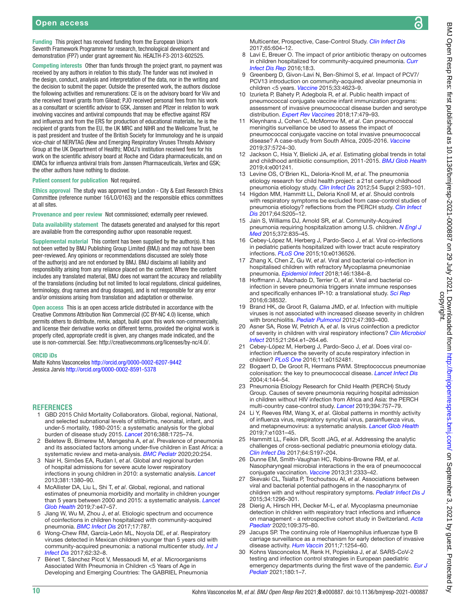Funding This project has received funding from the European Union's Seventh Framework Programme for research, technological development and demonstration (FP7) under grant agreement No. HEALTH-F3-2013-602525.

Competing interests Other than funds through the project grant, no payment was received by any authors in relation to this study. The funder was not involved in the design, conduct, analysis and interpretation of the data, nor in the writing and the decision to submit the paper. Outside the presented work, the authors disclose the following activities and remunerations: CE is on the advisory board for Viiv and she received travel grants from Gilead; PJO received personal fees from his work as a consultant or scientific advisor to GSK, Janssen and Pfizer in relation to work involving vaccines and antiviral compounds that may be effective against RSV and influenza and from the ERS for production of educational materials, he is the recipient of grants from the EU, the UK MRC and NIHR and the Wellcome Trust, he is past president and trustee of the British Society for Immunology and he is unpaid vice-chair of NERVTAG (New and Emerging Respiratory Viruses Threats Advisory Group at the UK Department of Health); MDdJ's institution received fees for his work on the scientific advisory board at Roche and Cidara pharmaceuticals, and on IDMCs for influenza antiviral trials from Janssen Pharmaceuticals, Vertex and GSK; the other authors have nothing to disclose.

#### Patient consent for publication Not required.

Ethics approval The study was approved by London - City & East Research Ethics Committee (reference number 16/LO/0163) and the responsible ethics committees at all sites.

Provenance and peer review Not commissioned; externally peer reviewed.

Data availability statement The datasets generated and analysed for this report are available from the corresponding author upon reasonable request.

Supplemental material This content has been supplied by the author(s). It has not been vetted by BMJ Publishing Group Limited (BMJ) and may not have been peer-reviewed. Any opinions or recommendations discussed are solely those of the author(s) and are not endorsed by BMJ. BMJ disclaims all liability and responsibility arising from any reliance placed on the content. Where the content includes any translated material, BMJ does not warrant the accuracy and reliability of the translations (including but not limited to local regulations, clinical guidelines, terminology, drug names and drug dosages), and is not responsible for any error and/or omissions arising from translation and adaptation or otherwise.

Open access This is an open access article distributed in accordance with the Creative Commons Attribution Non Commercial (CC BY-NC 4.0) license, which permits others to distribute, remix, adapt, build upon this work non-commercially, and license their derivative works on different terms, provided the original work is properly cited, appropriate credit is given, any changes made indicated, and the use is non-commercial. See:<http://creativecommons.org/licenses/by-nc/4.0/>.

#### ORCID iDs

Malte Kohns Vasconcelos<http://orcid.org/0000-0002-6207-9442> Jessica Jarvis <http://orcid.org/0000-0002-8591-5378>

# **REFERENCES**

- <span id="page-9-0"></span>1 GBD 2015 Child Mortality Collaborators. Global, regional, National, and selected subnational levels of stillbirths, neonatal, infant, and under-5 mortality, 1980-2015: a systematic analysis for the global burden of disease study 2015. *[Lancet](http://dx.doi.org/10.1016/S0140-6736(16)31575-6)* 2016;388:1725–74.
- <span id="page-9-1"></span>2 Beletew B, Bimerew M, Mengesha A, *et al*. Prevalence of pneumonia and its associated factors among under-five children in East Africa: a systematic review and meta-analysis. *[BMC Pediatr](http://dx.doi.org/10.1186/s12887-020-02083-z)* 2020;20:254.
- <span id="page-9-2"></span>3 Nair H, Simões EA, Rudan I, *et al*. Global and regional burden of hospital admissions for severe acute lower respiratory infections in young children in 2010: a systematic analysis. *[Lancet](http://dx.doi.org/10.1016/S0140-6736(12)61901-1)* 2013;381:1380–90.
- <span id="page-9-3"></span>4 McAllister DA, Liu L, Shi T, *et al*. Global, regional, and national estimates of pneumonia morbidity and mortality in children younger than 5 years between 2000 and 2015: a systematic analysis. *[Lancet](http://dx.doi.org/10.1016/S2214-109X(18)30408-X)  [Glob Health](http://dx.doi.org/10.1016/S2214-109X(18)30408-X)* 2019;7:e47–57.
- <span id="page-9-4"></span>5 Jiang W, Wu M, Zhou J, *et al*. Etiologic spectrum and occurrence of coinfections in children hospitalized with community-acquired pneumonia. *[BMC Infect Dis](http://dx.doi.org/10.1186/s12879-017-2891-x)* 2017;17:787.
- 6 Wong-Chew RM, García-León ML, Noyola DE, *et al*. Respiratory viruses detected in Mexican children younger than 5 years old with community-acquired pneumonia: a national multicenter study. *[Int J](http://dx.doi.org/10.1016/j.ijid.2017.06.020)  [Infect Dis](http://dx.doi.org/10.1016/j.ijid.2017.06.020)* 2017;62:32–8.
- <span id="page-9-5"></span>7 Bénet T, Sánchez Picot V, Messaoudi M, *et al*. Microorganisms Associated With Pneumonia in Children <5 Years of Age in Developing and Emerging Countries: The GABRIEL Pneumonia

Multicenter, Prospective, Case-Control Study. *[Clin Infect Dis](http://dx.doi.org/10.1093/cid/cix378)* 2017;65:604–12.

- 8 Lavi E, Breuer O. The impact of prior antibiotic therapy on outcomes in children hospitalized for community-acquired pneumonia. *[Curr](http://dx.doi.org/10.1007/s11908-015-0509-2)  [Infect Dis Rep](http://dx.doi.org/10.1007/s11908-015-0509-2)* 2016;18:3.
- 9 Greenberg D, Givon-Lavi N, Ben-Shimol S, *et al*. Impact of PCV7/ PCV13 introduction on community-acquired alveolar pneumonia in children <5 years. *[Vaccine](http://dx.doi.org/10.1016/j.vaccine.2015.06.062)* 2015;33:4623–9.
- 10 Izurieta P, Bahety P, Adegbola R, *et al*. Public health impact of pneumococcal conjugate vaccine infant immunization programs: assessment of invasive pneumococcal disease burden and serotype distribution. *[Expert Rev Vaccines](http://dx.doi.org/10.1080/14760584.2018.1413354)* 2018;17:479–93.
- 11 Kleynhans J, Cohen C, McMorrow M, *et al*. Can pneumococcal meningitis surveillance be used to assess the impact of pneumococcal conjugate vaccine on total invasive pneumococcal disease? A case-study from South Africa, 2005-2016. *[Vaccine](http://dx.doi.org/10.1016/j.vaccine.2019.04.090)* 2019;37:5724–30.
- <span id="page-9-6"></span>12 Jackson C, Hsia Y, Bielicki JA, *et al*. Estimating global trends in total and childhood antibiotic consumption, 2011-2015. *[BMJ Glob Health](http://dx.doi.org/10.1136/bmjgh-2018-001241)* 2019;4:e001241.
- <span id="page-9-7"></span>13 Levine OS, O'Brien KL, Deloria-Knoll M, *et al*. The pneumonia etiology research for child health project: a 21st century childhood pneumonia etiology study. *[Clin Infect Dis](http://dx.doi.org/10.1093/cid/cir1052)* 2012;54 Suppl 2:S93–101.
- <span id="page-9-8"></span>14 Higdon MM, Hammitt LL, Deloria Knoll M, *et al*. Should controls with respiratory symptoms be excluded from case-control studies of pneumonia etiology? reflections from the PERCH study. *[Clin Infect](http://dx.doi.org/10.1093/cid/cix076)  [Dis](http://dx.doi.org/10.1093/cid/cix076)* 2017;64:S205–12.
- <span id="page-9-9"></span>15 Jain S, Williams DJ, Arnold SR, *et al*. Community-Acquired pneumonia requiring hospitalization among U.S. children. *[N Engl J](http://dx.doi.org/10.1056/NEJMoa1405870)  [Med](http://dx.doi.org/10.1056/NEJMoa1405870)* 2015;372:835–45.
- 16 Cebey-López M, Herberg J, Pardo-Seco J, *et al*. Viral co-infections in pediatric patients hospitalized with lower tract acute respiratory infections. *[PLoS One](http://dx.doi.org/10.1371/journal.pone.0136526)* 2015;10:e0136526.
- <span id="page-9-10"></span>17 Zhang X, Chen Z, Gu W, *et al*. Viral and bacterial co-infection in hospitalised children with refractory Mycoplasma pneumoniae pneumonia. *[Epidemiol Infect](http://dx.doi.org/10.1017/S0950268818000778)* 2018;146:1384–8.
- 18 Hoffmann J, Machado D, Terrier O, *et al*. Viral and bacterial coinfection in severe pneumonia triggers innate immune responses and specifically enhances IP-10: a translational study. *[Sci Rep](http://dx.doi.org/10.1038/srep38532)* 2016;6:38532.
- <span id="page-9-11"></span>19 Brand HK, de Groot R, Galama JMD, *et al*. Infection with multiple viruses is not associated with increased disease severity in children with bronchiolitis. *[Pediatr Pulmonol](http://dx.doi.org/10.1002/ppul.21552)* 2012;47:393–400.
- 20 Asner SA, Rose W, Petrich A, *et al*. Is virus coinfection a predictor of severity in children with viral respiratory infections? *[Clin Microbiol](http://dx.doi.org/10.1016/j.cmi.2014.08.024)  [Infect](http://dx.doi.org/10.1016/j.cmi.2014.08.024)* 2015;21:264.e1–264.e6.
- <span id="page-9-12"></span>21 Cebey-López M, Herberg J, Pardo-Seco J, *et al*. Does viral coinfection influence the severity of acute respiratory infection in children? *[PLoS One](http://dx.doi.org/10.1371/journal.pone.0152481)* 2016;11:e0152481.
- <span id="page-9-13"></span>22 Bogaert D, De Groot R, Hermans PWM. Streptococcus pneumoniae colonisation: the key to pneumococcal disease. *[Lancet Infect Dis](http://dx.doi.org/10.1016/S1473-3099(04)00938-7)* 2004;4:144–54.
- <span id="page-9-14"></span>23 Pneumonia Etiology Research for Child Health (PERCH) Study Group. Causes of severe pneumonia requiring hospital admission in children without HIV infection from Africa and Asia: the PERCH multi-country case-control study. *[Lancet](http://dx.doi.org/10.1016/S0140-6736(19)30721-4)* 2019;394:757–79.
- <span id="page-9-15"></span>24 Li Y, Reeves RM, Wang X, *et al*. Global patterns in monthly activity of influenza virus, respiratory syncytial virus, parainfluenza virus, and metapneumovirus: a systematic analysis. *[Lancet Glob Health](http://dx.doi.org/10.1016/S2214-109X(19)30264-5)* 2019;7:e1031–45.
- <span id="page-9-16"></span>25 Hammitt LL, Feikin DR, Scott JAG, *et al*. Addressing the analytic challenges of cross-sectional pediatric pneumonia etiology data. *[Clin Infect Dis](http://dx.doi.org/10.1093/cid/cix147)* 2017;64:S197–204.
- <span id="page-9-17"></span>26 Dunne EM, Smith-Vaughan HC, Robins-Browne RM, *et al*. Nasopharyngeal microbial interactions in the era of pneumococcal conjugate vaccination. *[Vaccine](http://dx.doi.org/10.1016/j.vaccine.2013.03.024)* 2013;31:2333–42.
- 27 Skevaki CL, Tsialta P, Trochoutsou AI, *et al*. Associations between viral and bacterial potential pathogens in the nasopharynx of children with and without respiratory symptoms. *[Pediatr Infect Dis J](http://dx.doi.org/10.1097/INF.0000000000000872)* 2015;34:1296–301.
- <span id="page-9-18"></span>28 Dierig A, Hirsch HH, Decker M-L, *et al*. Mycoplasma pneumoniae detection in children with respiratory tract infections and influence on management - a retrospective cohort study in Switzerland. *[Acta](http://dx.doi.org/10.1111/apa.14891)  [Paediatr](http://dx.doi.org/10.1111/apa.14891)* 2020;109:375–80.
- <span id="page-9-19"></span>29 Jacups SP. The continuing role of Haemophilus influenzae type B carriage surveillance as a mechanism for early detection of invasive disease activity. *[Hum Vaccin](http://dx.doi.org/10.4161/hv.7.12.17979)* 2011;7:1254–60.
- <span id="page-9-20"></span>30 Kohns Vasconcelos M, Renk H, Popielska J, *et al*. SARS-CoV-2 testing and infection control strategies in European paediatric emergency departments during the first wave of the pandemic. *[Eur J](http://dx.doi.org/10.1007/s00431-020-03843-w)  [Pediatr](http://dx.doi.org/10.1007/s00431-020-03843-w)* 2021;180:1–7.

्व

ခ